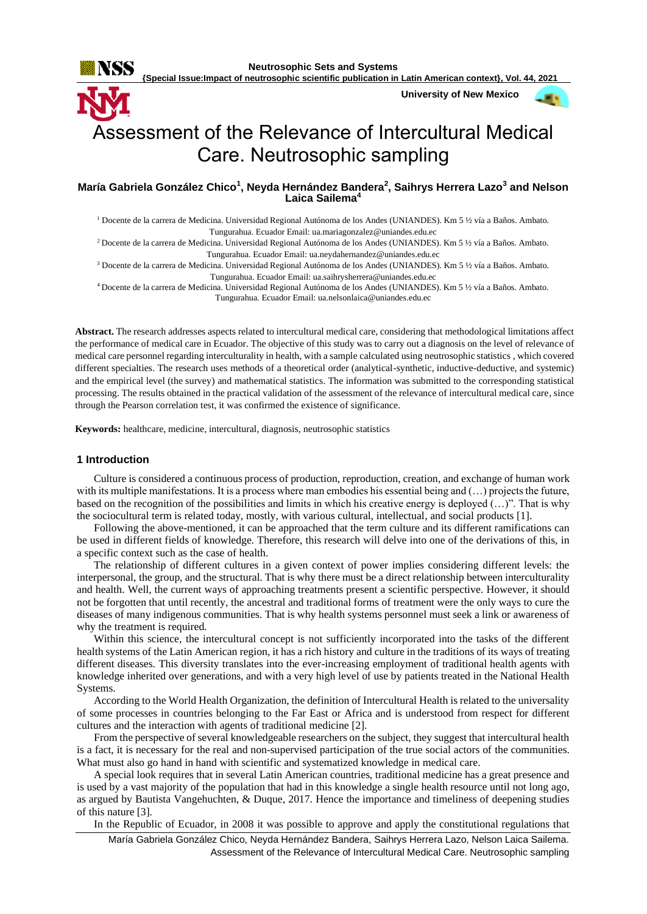

**{Special Issue:Impact of neutrosophic scientific publication in Latin American context}, Vol. 44, 2021**

**University of New Mexico**



# Assessment of the Relevance of Intercultural Medical Care. Neutrosophic sampling

# **María Gabriela González Chico<sup>1</sup> , Neyda Hernández Bandera<sup>2</sup> , Saihrys Herrera Lazo<sup>3</sup> and Nelson Laica Sailema<sup>4</sup>**

<sup>1</sup> Docente de la carrera de Medicina. Universidad Regional Autónoma de los Andes (UNIANDES). Km 5 ½ vía a Baños. Ambato. Tungurahua. Ecuador Email[: ua.mariagonzalez@uniandes.edu.ec](mailto:ua.mariagonzalez@uniandes.edu.ec)

<sup>2</sup>Docente de la carrera de Medicina. Universidad Regional Autónoma de los Andes (UNIANDES). Km 5 ½ vía a Baños. Ambato. Tungurahua. Ecuador Email: [ua.neydahernandez@uniandes.edu.ec](mailto:ua.neydahernandez@uniandes.edu.ec)

<sup>3</sup> Docente de la carrera de Medicina. Universidad Regional Autónoma de los Andes (UNIANDES). Km 5 ½ vía a Baños. Ambato. Tungurahua. Ecuador Email[: ua.saihrysherrera@uniandes.edu.ec](mailto:ua.saihrysherrera@uniandes.edu.ec)

<sup>4</sup>Docente de la carrera de Medicina. Universidad Regional Autónoma de los Andes (UNIANDES). Km 5 ½ vía a Baños. Ambato. Tungurahua. Ecuador Email: [ua.nelsonlaica@uniandes.edu.ec](mailto:ua.nelsonlaica@uniandes.edu.ec)

**Abstract.** The research addresses aspects related to intercultural medical care, considering that methodological limitations affect the performance of medical care in Ecuador. The objective of this study was to carry out a diagnosis on the level of relevance of medical care personnel regarding interculturality in health, with a sample calculated using neutrosophic statistics , which covered different specialties. The research uses methods of a theoretical order (analytical-synthetic, inductive-deductive, and systemic) and the empirical level (the survey) and mathematical statistics. The information was submitted to the corresponding statistical processing. The results obtained in the practical validation of the assessment of the relevance of intercultural medical care, since through the Pearson correlation test, it was confirmed the existence of significance.

**Keywords:** healthcare, medicine, intercultural, diagnosis, neutrosophic statistics

# **1 Introduction**

Culture is considered a continuous process of production, reproduction, creation, and exchange of human work with its multiple manifestations. It is a process where man embodies his essential being and (...) projects the future, based on the recognition of the possibilities and limits in which his creative energy is deployed (…)". That is why the sociocultural term is related today, mostly, with various cultural, intellectual, and social products [1].

Following the above-mentioned, it can be approached that the term culture and its different ramifications can be used in different fields of knowledge. Therefore, this research will delve into one of the derivations of this, in a specific context such as the case of health.

The relationship of different cultures in a given context of power implies considering different levels: the interpersonal, the group, and the structural. That is why there must be a direct relationship between interculturality and health. Well, the current ways of approaching treatments present a scientific perspective. However, it should not be forgotten that until recently, the ancestral and traditional forms of treatment were the only ways to cure the diseases of many indigenous communities. That is why health systems personnel must seek a link or awareness of why the treatment is required.

Within this science, the intercultural concept is not sufficiently incorporated into the tasks of the different health systems of the Latin American region, it has a rich history and culture in the traditions of its ways of treating different diseases. This diversity translates into the ever-increasing employment of traditional health agents with knowledge inherited over generations, and with a very high level of use by patients treated in the National Health Systems.

According to the World Health Organization, the definition of Intercultural Health is related to the universality of some processes in countries belonging to the Far East or Africa and is understood from respect for different cultures and the interaction with agents of traditional medicine [2].

From the perspective of several knowledgeable researchers on the subject, they suggest that intercultural health is a fact, it is necessary for the real and non-supervised participation of the true social actors of the communities. What must also go hand in hand with scientific and systematized knowledge in medical care.

A special look requires that in several Latin American countries, traditional medicine has a great presence and is used by a vast majority of the population that had in this knowledge a single health resource until not long ago, as argued by Bautista Vangehuchten, & Duque, 2017. Hence the importance and timeliness of deepening studies of this nature [3].

In the Republic of Ecuador, in 2008 it was possible to approve and apply the constitutional regulations that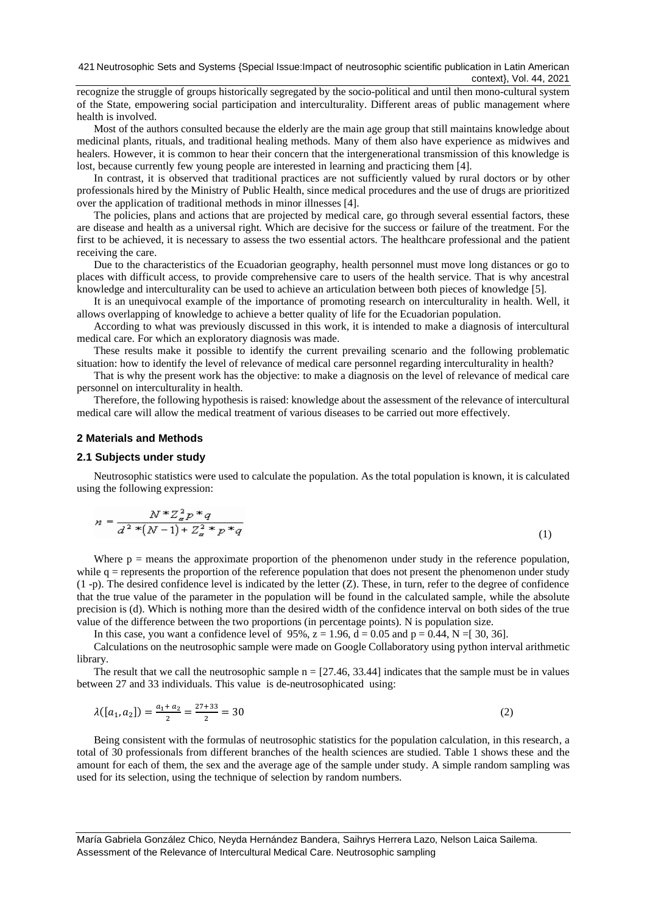recognize the struggle of groups historically segregated by the socio-political and until then mono-cultural system of the State, empowering social participation and interculturality. Different areas of public management where health is involved.

Most of the authors consulted because the elderly are the main age group that still maintains knowledge about medicinal plants, rituals, and traditional healing methods. Many of them also have experience as midwives and healers. However, it is common to hear their concern that the intergenerational transmission of this knowledge is lost, because currently few young people are interested in learning and practicing them [4].

In contrast, it is observed that traditional practices are not sufficiently valued by rural doctors or by other professionals hired by the Ministry of Public Health, since medical procedures and the use of drugs are prioritized over the application of traditional methods in minor illnesses [4].

The policies, plans and actions that are projected by medical care, go through several essential factors, these are disease and health as a universal right. Which are decisive for the success or failure of the treatment. For the first to be achieved, it is necessary to assess the two essential actors. The healthcare professional and the patient receiving the care.

Due to the characteristics of the Ecuadorian geography, health personnel must move long distances or go to places with difficult access, to provide comprehensive care to users of the health service. That is why ancestral knowledge and interculturality can be used to achieve an articulation between both pieces of knowledge [5].

It is an unequivocal example of the importance of promoting research on interculturality in health. Well, it allows overlapping of knowledge to achieve a better quality of life for the Ecuadorian population.

According to what was previously discussed in this work, it is intended to make a diagnosis of intercultural medical care. For which an exploratory diagnosis was made.

These results make it possible to identify the current prevailing scenario and the following problematic situation: how to identify the level of relevance of medical care personnel regarding interculturality in health?

That is why the present work has the objective: to make a diagnosis on the level of relevance of medical care personnel on interculturality in health.

Therefore, the following hypothesis is raised: knowledge about the assessment of the relevance of intercultural medical care will allow the medical treatment of various diseases to be carried out more effectively.

#### **2 Materials and Methods**

#### **2.1 Subjects under study**

Neutrosophic statistics were used to calculate the population. As the total population is known, it is calculated using the following expression:

$$
n = \frac{N^* Z_a^2 p^* q}{d^{2*}(N-1) + Z_a^2 * p^* q}
$$
\n(1)

Where  $p =$  means the approximate proportion of the phenomenon under study in the reference population, while  $q =$  represents the proportion of the reference population that does not present the phenomenon under study (1 -p). The desired confidence level is indicated by the letter (Z). These, in turn, refer to the degree of confidence that the true value of the parameter in the population will be found in the calculated sample, while the absolute precision is (d). Which is nothing more than the desired width of the confidence interval on both sides of the true value of the difference between the two proportions (in percentage points). N is population size.

In this case, you want a confidence level of 95%,  $z = 1.96$ ,  $d = 0.05$  and  $p = 0.44$ ,  $N = [30, 36]$ .

Calculations on the neutrosophic sample were made on Google Collaboratory using python interval arithmetic library.

The result that we call the neutrosophic sample  $n = \lfloor 27.46, 33.44 \rfloor$  indicates that the sample must be in values between 27 and 33 individuals. This value is de-neutrosophicated using:

$$
\lambda([a_1, a_2]) = \frac{a_1 + a_2}{2} = \frac{27 + 33}{2} = 30\tag{2}
$$

Being consistent with the formulas of neutrosophic statistics for the population calculation, in this research, a total of 30 professionals from different branches of the health sciences are studied. Table 1 shows these and the amount for each of them, the sex and the average age of the sample under study. A simple random sampling was used for its selection, using the technique of selection by random numbers.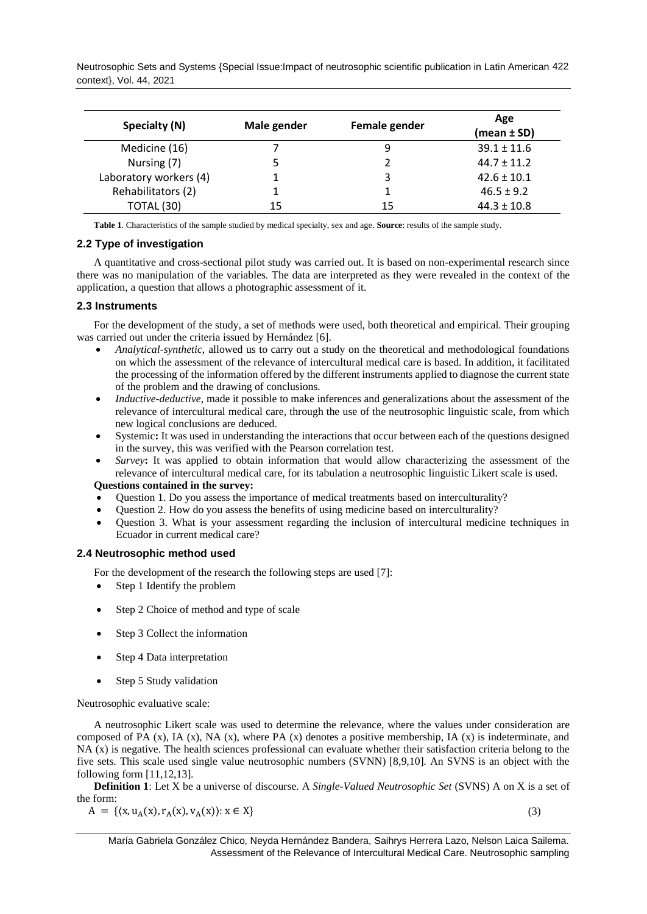Neutrosophic Sets and Systems {Special Issue:Impact of neutrosophic scientific publication in Latin American 422 context}, Vol. 44, 2021

| Specialty (N)          | Male gender | Female gender | Age<br>$(mean \pm SD)$ |
|------------------------|-------------|---------------|------------------------|
| Medicine (16)          |             |               | $39.1 \pm 11.6$        |
| Nursing (7)            |             |               | $44.7 + 11.2$          |
| Laboratory workers (4) |             | 3             | $42.6 \pm 10.1$        |
| Rehabilitators (2)     |             |               | $46.5 \pm 9.2$         |
| TOTAL (30)             | 15          | 15            | $44.3 \pm 10.8$        |

**Table 1**. Characteristics of the sample studied by medical specialty, sex and age. **Source**: results of the sample study.

# **2.2 Type of investigation**

A quantitative and cross-sectional pilot study was carried out. It is based on non-experimental research since there was no manipulation of the variables. The data are interpreted as they were revealed in the context of the application, a question that allows a photographic assessment of it.

# **2.3 Instruments**

For the development of the study, a set of methods were used, both theoretical and empirical. Their grouping was carried out under the criteria issued by Hernández [6].

- *Analytical-synthetic*, allowed us to carry out a study on the theoretical and methodological foundations on which the assessment of the relevance of intercultural medical care is based. In addition, it facilitated the processing of the information offered by the different instruments applied to diagnose the current state of the problem and the drawing of conclusions.
- *Inductive-deductive*, made it possible to make inferences and generalizations about the assessment of the relevance of intercultural medical care, through the use of the neutrosophic linguistic scale, from which new logical conclusions are deduced.
- Systemic**:** It was used in understanding the interactions that occur between each of the questions designed in the survey, this was verified with the Pearson correlation test.
- *Survey***:** It was applied to obtain information that would allow characterizing the assessment of the relevance of intercultural medical care, for its tabulation a neutrosophic linguistic Likert scale is used.

# **Questions contained in the survey:**

- Question 1. Do you assess the importance of medical treatments based on interculturality?
- Question 2. How do you assess the benefits of using medicine based on interculturality?
- Question 3. What is your assessment regarding the inclusion of intercultural medicine techniques in Ecuador in current medical care?

### **2.4 Neutrosophic method used**

For the development of the research the following steps are used [7]:

- Step 1 Identify the problem
- Step 2 Choice of method and type of scale
- Step 3 Collect the information
- Step 4 Data interpretation
- Step 5 Study validation

Neutrosophic evaluative scale:

A neutrosophic Likert scale was used to determine the relevance, where the values under consideration are composed of PA  $(x)$ , IA  $(x)$ , NA  $(x)$ , where PA  $(x)$  denotes a positive membership, IA  $(x)$  is indeterminate, and NA (x) is negative. The health sciences professional can evaluate whether their satisfaction criteria belong to the five sets. This scale used single value neutrosophic numbers (SVNN) [8,9,10]. An SVNS is an object with the following form [11,12,13].

**Definition 1**: Let X be a universe of discourse. A *Single-Valued Neutrosophic Set* (SVNS) A on X is a set of the form:

$$
A = \{ (x, u_A(x), r_A(x), v_A(x)) : x \in X \}
$$
\n(3)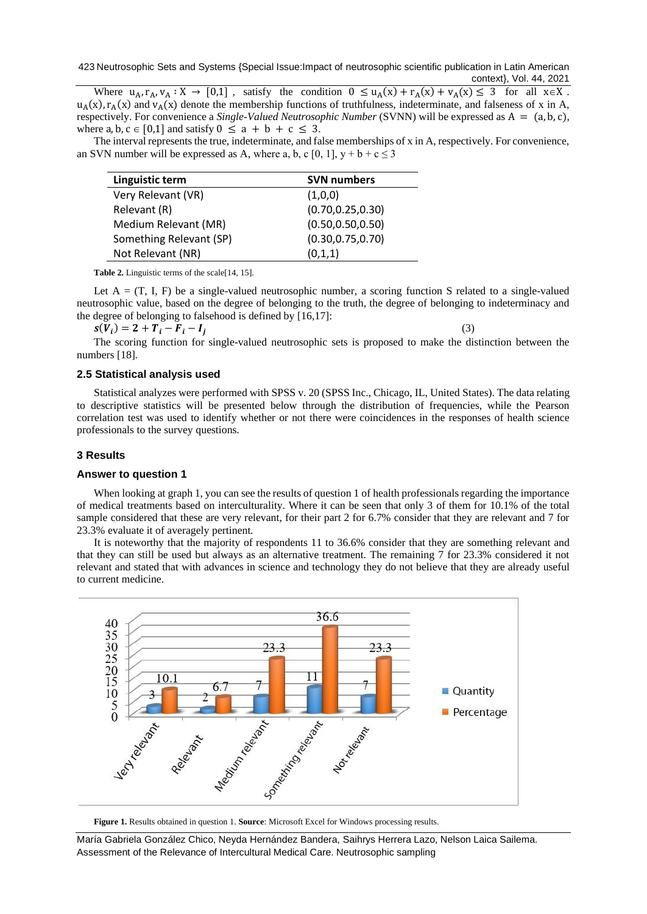423 Neutrosophic Sets and Systems {Special Issue:Impact of neutrosophic scientific publication in Latin American context}, Vol. 44, 2021

Where  $u_A, r_A, v_A : X \to [0,1]$ , satisfy the condition  $0 \le u_A(x) + r_A(x) + v_A(x) \le 3$  for all  $x \in X$ .  $u_A(x)$ ,  $r_A(x)$  and  $v_A(x)$  denote the membership functions of truthfulness, indeterminate, and falseness of x in A, respectively. For convenience a *Single-Valued Neutrosophic Number* (SVNN) will be expressed as A = (a, b, c), where a, b,  $c \in [0,1]$  and satisfy  $0 \le a + b + c \le 3$ .

The interval represents the true, indeterminate, and false memberships of x in A, respectively. For convenience, an SVN number will be expressed as A, where a, b, c [0, 1],  $y + b + c \le 3$ 

| Linguistic term         | <b>SVN numbers</b> |  |
|-------------------------|--------------------|--|
| Very Relevant (VR)      | (1,0,0)            |  |
| Relevant (R)            | (0.70, 0.25, 0.30) |  |
| Medium Relevant (MR)    | (0.50, 0.50, 0.50) |  |
| Something Relevant (SP) | (0.30, 0.75, 0.70) |  |
| Not Relevant (NR)       | (0,1,1)            |  |

**Table 2.** Linguistic terms of the scale[14, 15].

Let  $A = (T, I, F)$  be a single-valued neutrosophic number, a scoring function S related to a single-valued neutrosophic value, based on the degree of belonging to the truth, the degree of belonging to indeterminacy and the degree of belonging to falsehood is defined by [16,17]:

$$
s(V_i) = 2 + T_i - F_i - I_j \tag{3}
$$

The scoring function for single-valued neutrosophic sets is proposed to make the distinction between the numbers [18].

#### **2.5 Statistical analysis used**

Statistical analyzes were performed with SPSS v. 20 (SPSS Inc., Chicago, IL, United States). The data relating to descriptive statistics will be presented below through the distribution of frequencies, while the Pearson correlation test was used to identify whether or not there were coincidences in the responses of health science professionals to the survey questions.

#### **3 Results**

#### **Answer to question 1**

When looking at graph 1, you can see the results of question 1 of health professionals regarding the importance of medical treatments based on interculturality. Where it can be seen that only 3 of them for 10.1% of the total sample considered that these are very relevant, for their part 2 for 6.7% consider that they are relevant and 7 for 23.3% evaluate it of averagely pertinent.

It is noteworthy that the majority of respondents 11 to 36.6% consider that they are something relevant and that they can still be used but always as an alternative treatment. The remaining 7 for 23.3% considered it not relevant and stated that with advances in science and technology they do not believe that they are already useful to current medicine.



**Figure 1.** Results obtained in question 1. **Source**: Microsoft Excel for Windows processing results.

María Gabriela González Chico, Neyda Hernández Bandera, Saihrys Herrera Lazo, Nelson Laica Sailema. Assessment of the Relevance of Intercultural Medical Care. Neutrosophic sampling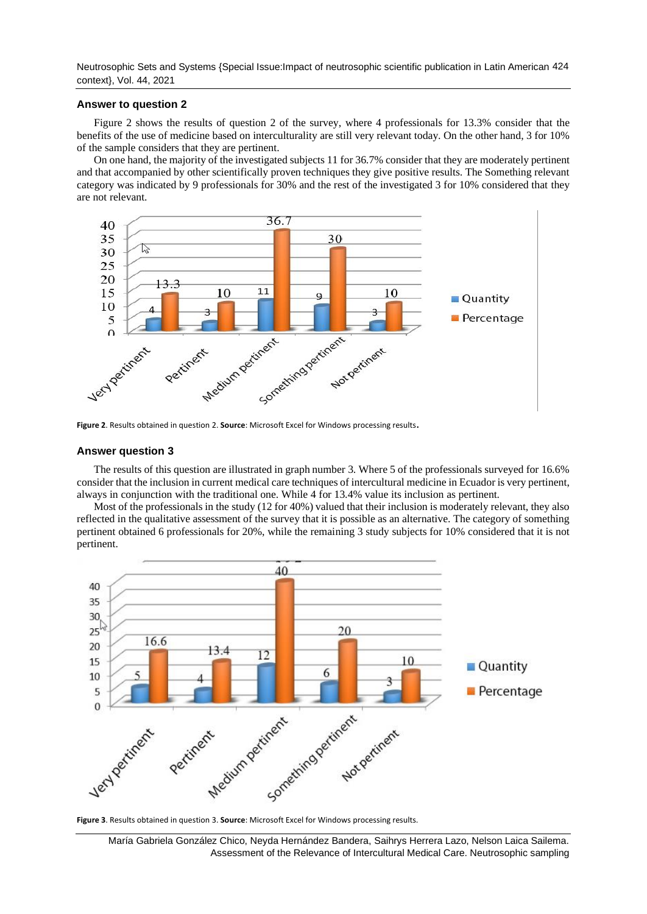Neutrosophic Sets and Systems {Special Issue:Impact of neutrosophic scientific publication in Latin American 424 context}, Vol. 44, 2021

#### **Answer to question 2**

Figure 2 shows the results of question 2 of the survey, where 4 professionals for 13.3% consider that the benefits of the use of medicine based on interculturality are still very relevant today. On the other hand, 3 for 10% of the sample considers that they are pertinent.

On one hand, the majority of the investigated subjects 11 for 36.7% consider that they are moderately pertinent and that accompanied by other scientifically proven techniques they give positive results. The Something relevant category was indicated by 9 professionals for 30% and the rest of the investigated 3 for 10% considered that they are not relevant.



**Figure 2**. Results obtained in question 2. **Source**: Microsoft Excel for Windows processing results.

#### **Answer question 3**

The results of this question are illustrated in graph number 3. Where 5 of the professionals surveyed for 16.6% consider that the inclusion in current medical care techniques of intercultural medicine in Ecuador is very pertinent, always in conjunction with the traditional one. While 4 for 13.4% value its inclusion as pertinent.

Most of the professionals in the study (12 for 40%) valued that their inclusion is moderately relevant, they also reflected in the qualitative assessment of the survey that it is possible as an alternative. The category of something pertinent obtained 6 professionals for 20%, while the remaining 3 study subjects for 10% considered that it is not pertinent.

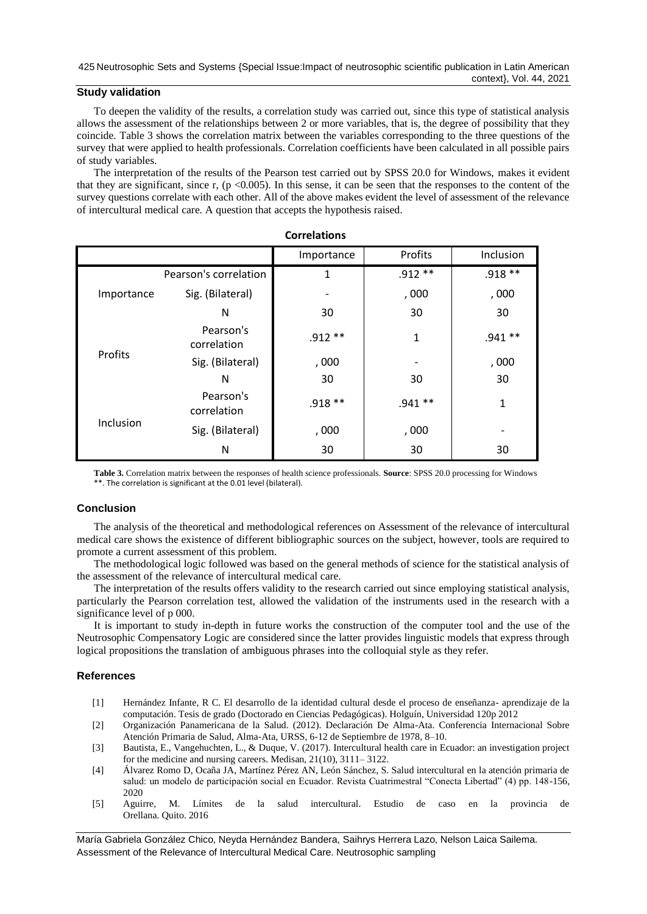# **Study validation**

To deepen the validity of the results, a correlation study was carried out, since this type of statistical analysis allows the assessment of the relationships between 2 or more variables, that is, the degree of possibility that they coincide. Table 3 shows the correlation matrix between the variables corresponding to the three questions of the survey that were applied to health professionals. Correlation coefficients have been calculated in all possible pairs of study variables.

The interpretation of the results of the Pearson test carried out by SPSS 20.0 for Windows, makes it evident that they are significant, since r,  $(p \le 0.005)$ . In this sense, it can be seen that the responses to the content of the survey questions correlate with each other. All of the above makes evident the level of assessment of the relevance of intercultural medical care. A question that accepts the hypothesis raised.

|            |                          | Importance | Profits                  | Inclusion |  |  |
|------------|--------------------------|------------|--------------------------|-----------|--|--|
| Importance | Pearson's correlation    | 1          | $.912**$                 | $.918**$  |  |  |
|            | Sig. (Bilateral)         |            | ,000                     | ,000      |  |  |
|            | N                        | 30         | 30                       | 30        |  |  |
| Profits    | Pearson's<br>correlation | $.912**$   | 1                        | $.941**$  |  |  |
|            | Sig. (Bilateral)         | ,000       | $\overline{\phantom{a}}$ | ,000      |  |  |
|            | N                        | 30         | 30                       | 30        |  |  |
| Inclusion  | Pearson's<br>correlation | .918 **    | $.941**$                 | 1         |  |  |
|            | Sig. (Bilateral)         | ,000       | ,000                     |           |  |  |
|            | N                        | 30         | 30                       | 30        |  |  |

#### **Correlations**

**Table 3.** Correlation matrix between the responses of health science professionals. **Source**: SPSS 20.0 processing for Windows \*\*. The correlation is significant at the 0.01 level (bilateral).

# **Conclusion**

The analysis of the theoretical and methodological references on Assessment of the relevance of intercultural medical care shows the existence of different bibliographic sources on the subject, however, tools are required to promote a current assessment of this problem.

The methodological logic followed was based on the general methods of science for the statistical analysis of the assessment of the relevance of intercultural medical care.

The interpretation of the results offers validity to the research carried out since employing statistical analysis, particularly the Pearson correlation test, allowed the validation of the instruments used in the research with a significance level of p 000.

It is important to study in-depth in future works the construction of the computer tool and the use of the Neutrosophic Compensatory Logic are considered since the latter provides linguistic models that express through logical propositions the translation of ambiguous phrases into the colloquial style as they refer.

# **References**

- [1] Hernández Infante, R C. El desarrollo de la identidad cultural desde el proceso de enseñanza- aprendizaje de la computación. Tesis de grado (Doctorado en Ciencias Pedagógicas). Holguín, Universidad 120p 2012
- [2] Organización Panamericana de la Salud. (2012). Declaración De Alma-Ata. Conferencia Internacional Sobre Atención Primaria de Salud, Alma-Ata, URSS, 6-12 de Septiembre de 1978, 8–10.
- [3] Bautista, E., Vangehuchten, L., & Duque, V. (2017). Intercultural health care in Ecuador: an investigation project for the medicine and nursing careers. Medisan, 21(10), 3111– 3122.
- [4] Álvarez Romo D, Ocaña JA, Martínez Pérez AN, León Sánchez, S. Salud intercultural en la atención primaria de salud: un modelo de participación social en Ecuador. Revista Cuatrimestral "Conecta Libertad" (4) pp. 148-156, 2020
- [5] Aguirre, M. Límites de la salud intercultural. Estudio de caso en la provincia de Orellana. Quito. 2016